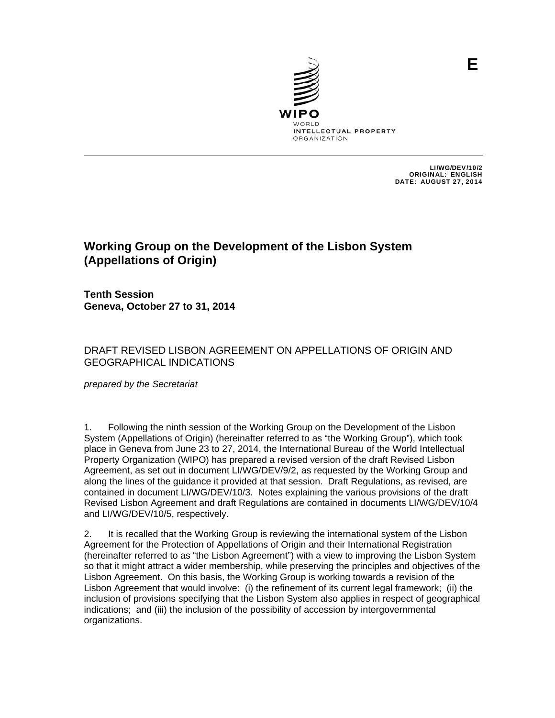

 LI/WG/DEV/10/2 ORIGINAL: ENGLISH DATE: AUGUST 27, 2014

# **Working Group on the Development of the Lisbon System (Appellations of Origin)**

**Tenth Session Geneva, October 27 to 31, 2014** 

# DRAFT REVISED LISBON AGREEMENT ON APPELLATIONS OF ORIGIN AND GEOGRAPHICAL INDICATIONS

*prepared by the Secretariat* 

1. Following the ninth session of the Working Group on the Development of the Lisbon System (Appellations of Origin) (hereinafter referred to as "the Working Group"), which took place in Geneva from June 23 to 27, 2014, the International Bureau of the World Intellectual Property Organization (WIPO) has prepared a revised version of the draft Revised Lisbon Agreement, as set out in document LI/WG/DEV/9/2, as requested by the Working Group and along the lines of the guidance it provided at that session. Draft Regulations, as revised, are contained in document LI/WG/DEV/10/3. Notes explaining the various provisions of the draft Revised Lisbon Agreement and draft Regulations are contained in documents LI/WG/DEV/10/4 and LI/WG/DEV/10/5, respectively.

2. It is recalled that the Working Group is reviewing the international system of the Lisbon Agreement for the Protection of Appellations of Origin and their International Registration (hereinafter referred to as "the Lisbon Agreement") with a view to improving the Lisbon System so that it might attract a wider membership, while preserving the principles and objectives of the Lisbon Agreement. On this basis, the Working Group is working towards a revision of the Lisbon Agreement that would involve: (i) the refinement of its current legal framework; (ii) the inclusion of provisions specifying that the Lisbon System also applies in respect of geographical indications; and (iii) the inclusion of the possibility of accession by intergovernmental organizations.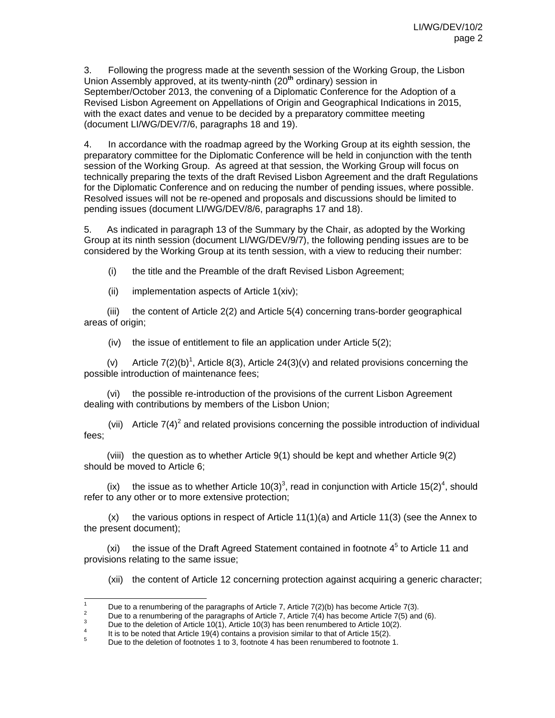3. Following the progress made at the seventh session of the Working Group, the Lisbon Union Assembly approved, at its twenty-ninth (20**th** ordinary) session in September/October 2013, the convening of a Diplomatic Conference for the Adoption of a Revised Lisbon Agreement on Appellations of Origin and Geographical Indications in 2015, with the exact dates and venue to be decided by a preparatory committee meeting (document LI/WG/DEV/7/6, paragraphs 18 and 19).

4. In accordance with the roadmap agreed by the Working Group at its eighth session, the preparatory committee for the Diplomatic Conference will be held in conjunction with the tenth session of the Working Group. As agreed at that session, the Working Group will focus on technically preparing the texts of the draft Revised Lisbon Agreement and the draft Regulations for the Diplomatic Conference and on reducing the number of pending issues, where possible. Resolved issues will not be re-opened and proposals and discussions should be limited to pending issues (document LI/WG/DEV/8/6, paragraphs 17 and 18).

5. As indicated in paragraph 13 of the Summary by the Chair, as adopted by the Working Group at its ninth session (document LI/WG/DEV/9/7), the following pending issues are to be considered by the Working Group at its tenth session, with a view to reducing their number:

(i) the title and the Preamble of the draft Revised Lisbon Agreement;

(ii) implementation aspects of Article 1(xiv);

(iii) the content of Article 2(2) and Article 5(4) concerning trans-border geographical areas of origin;

(iv) the issue of entitlement to file an application under Article 5(2);

(v) Article  $7(2)(b)^1$ , Article 8(3), Article 24(3)(v) and related provisions concerning the possible introduction of maintenance fees;

(vi) the possible re-introduction of the provisions of the current Lisbon Agreement dealing with contributions by members of the Lisbon Union;

(vii) Article  $7(4)^2$  and related provisions concerning the possible introduction of individual fees;

(viii) the question as to whether Article 9(1) should be kept and whether Article 9(2) should be moved to Article 6;

(ix) the issue as to whether Article 10(3)<sup>3</sup>, read in conjunction with Article 15(2)<sup>4</sup>, should refer to any other or to more extensive protection;

 $(x)$  the various options in respect of Article 11(1)(a) and Article 11(3) (see the Annex to the present document);

(xi) the issue of the Draft Agreed Statement contained in footnote  $4<sup>5</sup>$  to Article 11 and provisions relating to the same issue;

(xii) the content of Article 12 concerning protection against acquiring a generic character;

 $\frac{1}{1}$  Due to a renumbering of the paragraphs of Article 7, Article 7(2)(b) has become Article 7(3). 2

Due to a renumbering of the paragraphs of Article 7, Article 7(4) has become Article 7(5) and (6). 3

Due to the deletion of Article 10(1), Article 10(3) has been renumbered to Article 10(2). 4

It is to be noted that Article 19(4) contains a provision similar to that of Article 15(2). 5

Due to the deletion of footnotes 1 to 3, footnote 4 has been renumbered to footnote 1.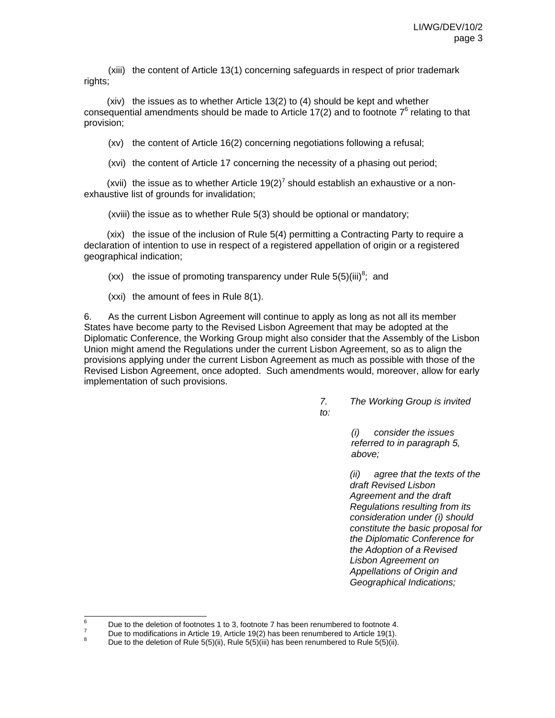(xiii) the content of Article 13(1) concerning safeguards in respect of prior trademark rights;

(xiv) the issues as to whether Article 13(2) to (4) should be kept and whether consequential amendments should be made to Article 17(2) and to footnote  $7^6$  relating to that provision;

(xv) the content of Article 16(2) concerning negotiations following a refusal;

(xvi) the content of Article 17 concerning the necessity of a phasing out period;

(xvii) the issue as to whether Article  $19(2)^7$  should establish an exhaustive or a nonexhaustive list of grounds for invalidation;

(xviii) the issue as to whether Rule 5(3) should be optional or mandatory;

(xix) the issue of the inclusion of Rule 5(4) permitting a Contracting Party to require a declaration of intention to use in respect of a registered appellation of origin or a registered geographical indication;

(xx) the issue of promoting transparency under Rule  $5(5)(iii)^8$ ; and

(xxi) the amount of fees in Rule 8(1).

6. As the current Lisbon Agreement will continue to apply as long as not all its member States have become party to the Revised Lisbon Agreement that may be adopted at the Diplomatic Conference, the Working Group might also consider that the Assembly of the Lisbon Union might amend the Regulations under the current Lisbon Agreement, so as to align the provisions applying under the current Lisbon Agreement as much as possible with those of the Revised Lisbon Agreement, once adopted. Such amendments would, moreover, allow for early implementation of such provisions.

> *7. The Working Group is invited to:*

> > *(i) consider the issues referred to in paragraph 5, above;*

*(ii) agree that the texts of the draft Revised Lisbon Agreement and the draft Regulations resulting from its consideration under (i) should constitute the basic proposal for the Diplomatic Conference for the Adoption of a Revised Lisbon Agreement on Appellations of Origin and Geographical Indications;* 

<sup>—&</sup>lt;br>6 Due to the deletion of footnotes 1 to 3, footnote 7 has been renumbered to footnote 4.

<sup>7</sup> Due to modifications in Article 19, Article 19(2) has been renumbered to Article 19(1).

<sup>8</sup> Due to the deletion of Rule 5(5)(ii), Rule 5(5)(iii) has been renumbered to Rule 5(5)(ii).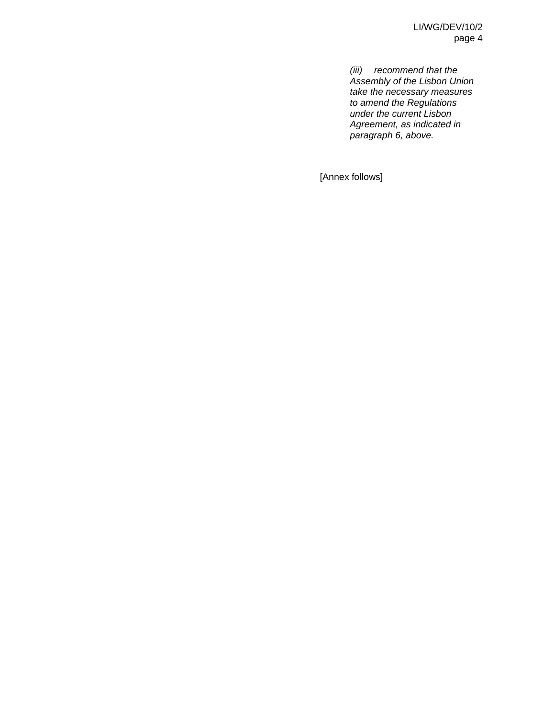LI/WG/DEV/10/2 page 4

*(iii) recommend that the Assembly of the Lisbon Union take the necessary measures to amend the Regulations under the current Lisbon Agreement, as indicated in paragraph 6, above.* 

[Annex follows]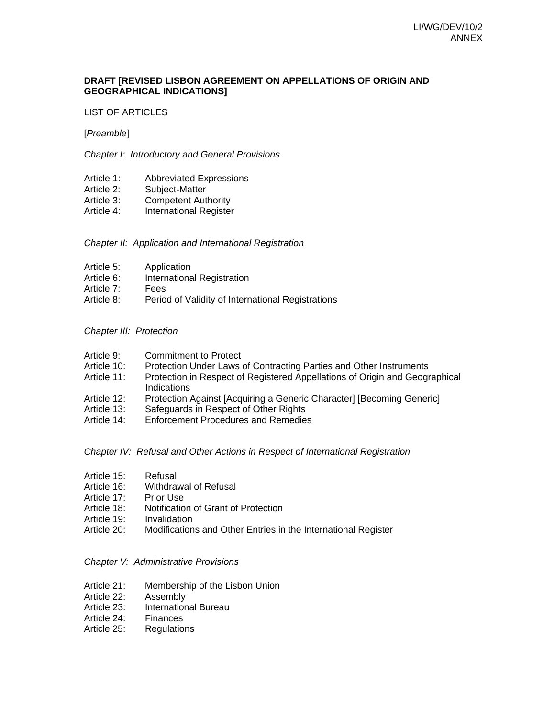#### **DRAFT [REVISED LISBON AGREEMENT ON APPELLATIONS OF ORIGIN AND GEOGRAPHICAL INDICATIONS]**

#### LIST OF ARTICLES

[*Preamble*]

*Chapter I: Introductory and General Provisions* 

- Article 1: Abbreviated Expressions
- Article 2: Subject-Matter
- Article 3: Competent Authority
- Article 4: International Register

#### *Chapter II: Application and International Registration*

- Article 5: Application
- Article 6: International Registration
- Article 7: Fees
- Article 8: Period of Validity of International Registrations

#### *Chapter III: Protection*

- Article 9: Commitment to Protect
- Article 10: Protection Under Laws of Contracting Parties and Other Instruments
- Article 11: Protection in Respect of Registered Appellations of Origin and Geographical Indications
- Article 12: Protection Against [Acquiring a Generic Character] [Becoming Generic]
- Article 13: Safeguards in Respect of Other Rights
- Article 14: Enforcement Procedures and Remedies

*Chapter IV: Refusal and Other Actions in Respect of International Registration* 

- Article 15: Refusal
- Article 16: Withdrawal of Refusal
- Article 17: Prior Use
- Article 18: Notification of Grant of Protection
- Article 19: Invalidation
- Article 20: Modifications and Other Entries in the International Register

#### *Chapter V: Administrative Provisions*

- Article 21: Membership of the Lisbon Union
- Article 22: Assembly
- Article 23: International Bureau
- Article 24: Finances
- Article 25: Regulations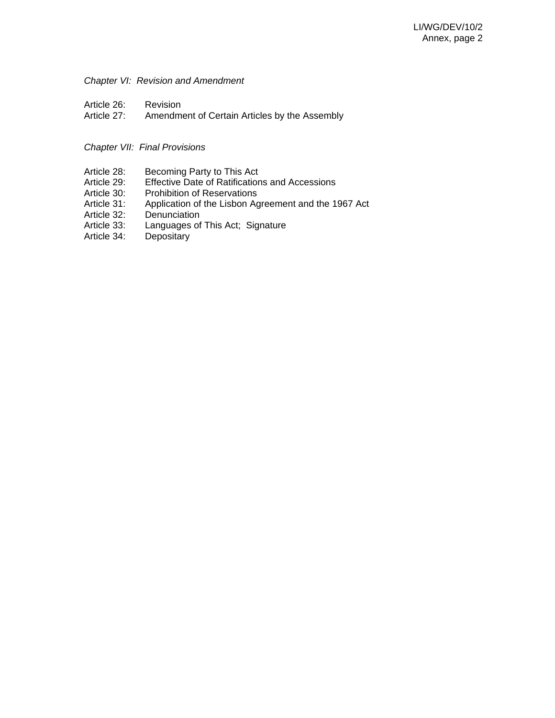# *Chapter VI: Revision and Amendment*

- Article 26: Revision
- Article 27: Amendment of Certain Articles by the Assembly

#### *Chapter VII: Final Provisions*

- Article 28: Becoming Party to This Act
- Article 29: Effective Date of Ratifications and Accessions
- Article 30: Prohibition of Reservations
- Article 31: Application of the Lisbon Agreement and the 1967 Act<br>Article 32: Denunciation
- Article 32: Denunciation<br>Article 33: Languages of
- Article 33: Languages of This Act; Signature<br>Article 34: Depositary
- **Depositary**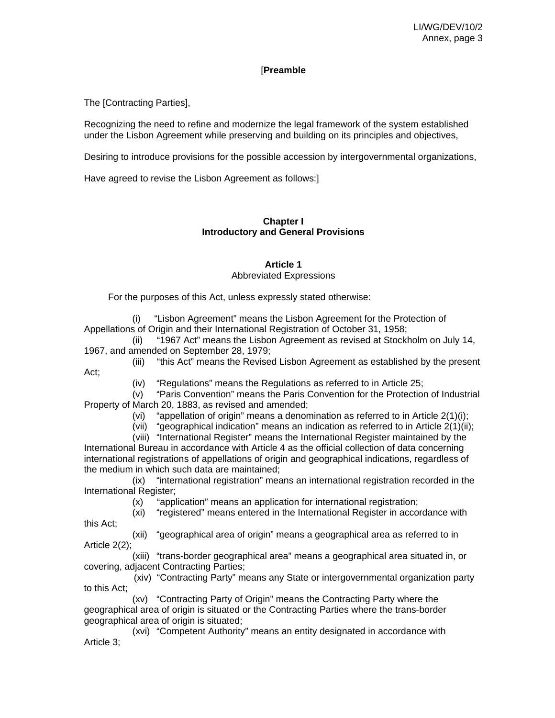# [**Preamble**

The [Contracting Parties],

Recognizing the need to refine and modernize the legal framework of the system established under the Lisbon Agreement while preserving and building on its principles and objectives,

Desiring to introduce provisions for the possible accession by intergovernmental organizations,

Have agreed to revise the Lisbon Agreement as follows:]

# **Chapter I Introductory and General Provisions**

# **Article 1**

Abbreviated Expressions

For the purposes of this Act, unless expressly stated otherwise:

(i) "Lisbon Agreement" means the Lisbon Agreement for the Protection of Appellations of Origin and their International Registration of October 31, 1958;

(ii) "1967 Act" means the Lisbon Agreement as revised at Stockholm on July 14, 1967, and amended on September 28, 1979;

(iii) "this Act" means the Revised Lisbon Agreement as established by the present Act;

(iv) "Regulations" means the Regulations as referred to in Article 25;

(v) "Paris Convention" means the Paris Convention for the Protection of Industrial Property of March 20, 1883, as revised and amended;

(vi) "appellation of origin" means a denomination as referred to in Article  $2(1)(i)$ ;

(vii) "geographical indication" means an indication as referred to in Article  $2(1)(ii)$ ;

(viii) "International Register" means the International Register maintained by the International Bureau in accordance with Article 4 as the official collection of data concerning international registrations of appellations of origin and geographical indications, regardless of the medium in which such data are maintained;

(ix) "international registration" means an international registration recorded in the International Register;

(x) "application" means an application for international registration;

(xi) "registered" means entered in the International Register in accordance with this Act;

(xii) "geographical area of origin" means a geographical area as referred to in Article 2(2);

(xiii) "trans-border geographical area" means a geographical area situated in, or covering, adjacent Contracting Parties;

(xiv) "Contracting Party" means any State or intergovernmental organization party to this Act;

(xv) "Contracting Party of Origin" means the Contracting Party where the geographical area of origin is situated or the Contracting Parties where the trans-border geographical area of origin is situated;

(xvi) "Competent Authority" means an entity designated in accordance with Article 3;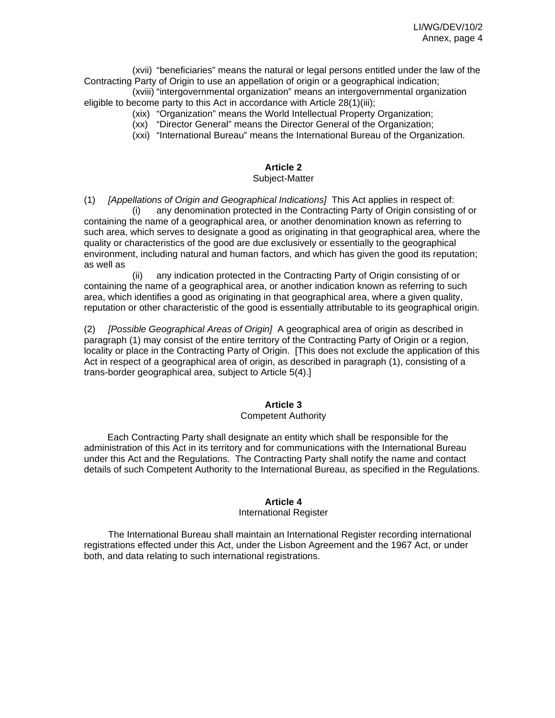(xvii) "beneficiaries" means the natural or legal persons entitled under the law of the Contracting Party of Origin to use an appellation of origin or a geographical indication;

(xviii) "intergovernmental organization" means an intergovernmental organization eligible to become party to this Act in accordance with Article 28(1)(iii);

- (xix) "Organization" means the World Intellectual Property Organization;
	- (xx) "Director General" means the Director General of the Organization;
	- (xxi) "International Bureau" means the International Bureau of the Organization.

# **Article 2**

#### Subject-Matter

(1) *[Appellations of Origin and Geographical Indications]* This Act applies in respect of: (i) any denomination protected in the Contracting Party of Origin consisting of or containing the name of a geographical area, or another denomination known as referring to such area, which serves to designate a good as originating in that geographical area, where the quality or characteristics of the good are due exclusively or essentially to the geographical environment, including natural and human factors, and which has given the good its reputation; as well as

 (ii) any indication protected in the Contracting Party of Origin consisting of or containing the name of a geographical area, or another indication known as referring to such area, which identifies a good as originating in that geographical area, where a given quality, reputation or other characteristic of the good is essentially attributable to its geographical origin.

(2) *[Possible Geographical Areas of Origin]* A geographical area of origin as described in paragraph (1) may consist of the entire territory of the Contracting Party of Origin or a region, locality or place in the Contracting Party of Origin. [This does not exclude the application of this Act in respect of a geographical area of origin, as described in paragraph (1), consisting of a trans-border geographical area, subject to Article 5(4).]

# **Article 3**

#### Competent Authority

 Each Contracting Party shall designate an entity which shall be responsible for the administration of this Act in its territory and for communications with the International Bureau under this Act and the Regulations. The Contracting Party shall notify the name and contact details of such Competent Authority to the International Bureau, as specified in the Regulations.

#### **Article 4**

#### International Register

 The International Bureau shall maintain an International Register recording international registrations effected under this Act, under the Lisbon Agreement and the 1967 Act, or under both, and data relating to such international registrations.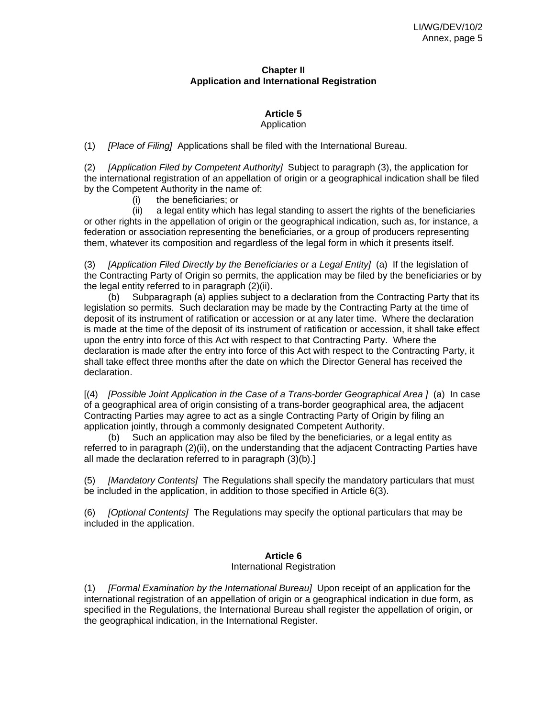#### **Chapter II Application and International Registration**

# **Article 5**

#### Application

(1) *[Place of Filing]* Applications shall be filed with the International Bureau.

(2) *[Application Filed by Competent Authority]* Subject to paragraph (3), the application for the international registration of an appellation of origin or a geographical indication shall be filed by the Competent Authority in the name of:

(i) the beneficiaries; or

 (ii) a legal entity which has legal standing to assert the rights of the beneficiaries or other rights in the appellation of origin or the geographical indication, such as, for instance, a federation or association representing the beneficiaries, or a group of producers representing them, whatever its composition and regardless of the legal form in which it presents itself.

(3) *[Application Filed Directly by the Beneficiaries or a Legal Entity]* (a) If the legislation of the Contracting Party of Origin so permits, the application may be filed by the beneficiaries or by the legal entity referred to in paragraph (2)(ii).

(b) Subparagraph (a) applies subject to a declaration from the Contracting Party that its legislation so permits. Such declaration may be made by the Contracting Party at the time of deposit of its instrument of ratification or accession or at any later time. Where the declaration is made at the time of the deposit of its instrument of ratification or accession, it shall take effect upon the entry into force of this Act with respect to that Contracting Party. Where the declaration is made after the entry into force of this Act with respect to the Contracting Party, it shall take effect three months after the date on which the Director General has received the declaration.

[(4) *[Possible Joint Application in the Case of a Trans-border Geographical Area ]* (a) In case of a geographical area of origin consisting of a trans-border geographical area, the adjacent Contracting Parties may agree to act as a single Contracting Party of Origin by filing an application jointly, through a commonly designated Competent Authority.

 (b) Such an application may also be filed by the beneficiaries, or a legal entity as referred to in paragraph (2)(ii), on the understanding that the adjacent Contracting Parties have all made the declaration referred to in paragraph (3)(b).]

(5) *[Mandatory Contents]* The Regulations shall specify the mandatory particulars that must be included in the application, in addition to those specified in Article 6(3).

(6) *[Optional Contents]* The Regulations may specify the optional particulars that may be included in the application.

# **Article 6**

International Registration

(1) *[Formal Examination by the International Bureau]* Upon receipt of an application for the international registration of an appellation of origin or a geographical indication in due form, as specified in the Regulations, the International Bureau shall register the appellation of origin, or the geographical indication, in the International Register.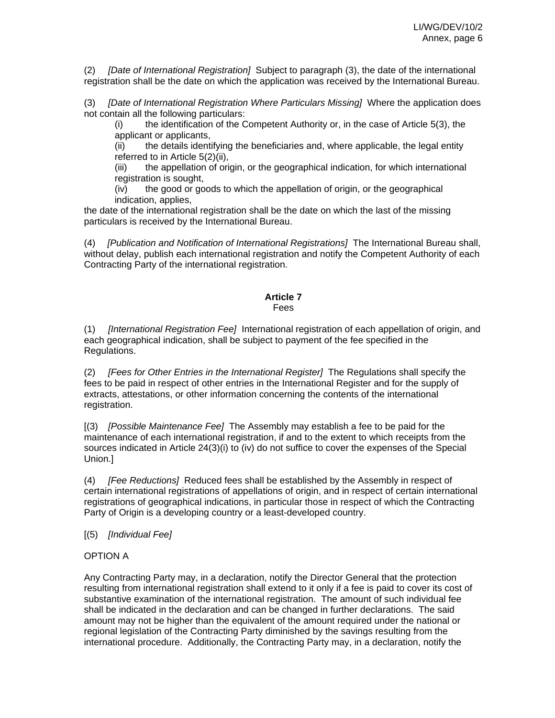(2) *[Date of International Registration]* Subject to paragraph (3), the date of the international registration shall be the date on which the application was received by the International Bureau.

(3) *[Date of International Registration Where Particulars Missing]* Where the application does not contain all the following particulars:

(i) the identification of the Competent Authority or, in the case of Article 5(3), the applicant or applicants,

(ii) the details identifying the beneficiaries and, where applicable, the legal entity referred to in Article 5(2)(ii),

(iii) the appellation of origin, or the geographical indication, for which international registration is sought,

(iv) the good or goods to which the appellation of origin, or the geographical indication, applies,

the date of the international registration shall be the date on which the last of the missing particulars is received by the International Bureau.

(4) *[Publication and Notification of International Registrations]* The International Bureau shall, without delay, publish each international registration and notify the Competent Authority of each Contracting Party of the international registration.

#### **Article 7** Fees

(1) *[International Registration Fee]* International registration of each appellation of origin, and each geographical indication, shall be subject to payment of the fee specified in the Regulations.

(2) *[Fees for Other Entries in the International Register]* The Regulations shall specify the fees to be paid in respect of other entries in the International Register and for the supply of extracts, attestations, or other information concerning the contents of the international registration.

[(3) *[Possible Maintenance Fee]* The Assembly may establish a fee to be paid for the maintenance of each international registration, if and to the extent to which receipts from the sources indicated in Article 24(3)(i) to (iv) do not suffice to cover the expenses of the Special Union.]

(4) *[Fee Reductions]* Reduced fees shall be established by the Assembly in respect of certain international registrations of appellations of origin, and in respect of certain international registrations of geographical indications, in particular those in respect of which the Contracting Party of Origin is a developing country or a least-developed country.

[(5) *[Individual Fee]*

# OPTION A

Any Contracting Party may, in a declaration, notify the Director General that the protection resulting from international registration shall extend to it only if a fee is paid to cover its cost of substantive examination of the international registration. The amount of such individual fee shall be indicated in the declaration and can be changed in further declarations. The said amount may not be higher than the equivalent of the amount required under the national or regional legislation of the Contracting Party diminished by the savings resulting from the international procedure. Additionally, the Contracting Party may, in a declaration, notify the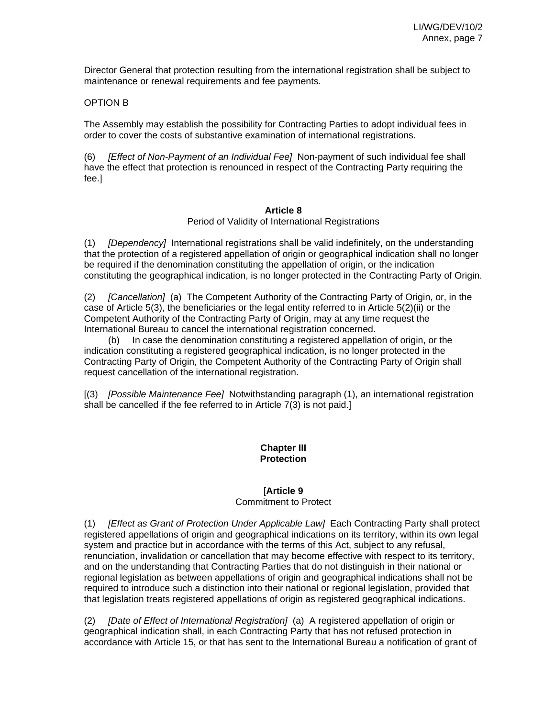Director General that protection resulting from the international registration shall be subject to maintenance or renewal requirements and fee payments.

# OPTION B

The Assembly may establish the possibility for Contracting Parties to adopt individual fees in order to cover the costs of substantive examination of international registrations.

(6) *[Effect of Non-Payment of an Individual Fee]* Non-payment of such individual fee shall have the effect that protection is renounced in respect of the Contracting Party requiring the fee.]

#### **Article 8**

#### Period of Validity of International Registrations

(1) *[Dependency]* International registrations shall be valid indefinitely, on the understanding that the protection of a registered appellation of origin or geographical indication shall no longer be required if the denomination constituting the appellation of origin, or the indication constituting the geographical indication, is no longer protected in the Contracting Party of Origin.

(2) *[Cancellation]* (a) The Competent Authority of the Contracting Party of Origin, or, in the case of Article 5(3), the beneficiaries or the legal entity referred to in Article 5(2)(ii) or the Competent Authority of the Contracting Party of Origin, may at any time request the International Bureau to cancel the international registration concerned.

(b) In case the denomination constituting a registered appellation of origin, or the indication constituting a registered geographical indication, is no longer protected in the Contracting Party of Origin, the Competent Authority of the Contracting Party of Origin shall request cancellation of the international registration.

[(3) *[Possible Maintenance Fee]* Notwithstanding paragraph (1), an international registration shall be cancelled if the fee referred to in Article 7(3) is not paid.]

#### **Chapter III Protection**

#### [**Article 9**

#### Commitment to Protect

(1) *[Effect as Grant of Protection Under Applicable Law]* Each Contracting Party shall protect registered appellations of origin and geographical indications on its territory, within its own legal system and practice but in accordance with the terms of this Act, subject to any refusal, renunciation, invalidation or cancellation that may become effective with respect to its territory, and on the understanding that Contracting Parties that do not distinguish in their national or regional legislation as between appellations of origin and geographical indications shall not be required to introduce such a distinction into their national or regional legislation, provided that that legislation treats registered appellations of origin as registered geographical indications.

(2) *[Date of Effect of International Registration]* (a) A registered appellation of origin or geographical indication shall, in each Contracting Party that has not refused protection in accordance with Article 15, or that has sent to the International Bureau a notification of grant of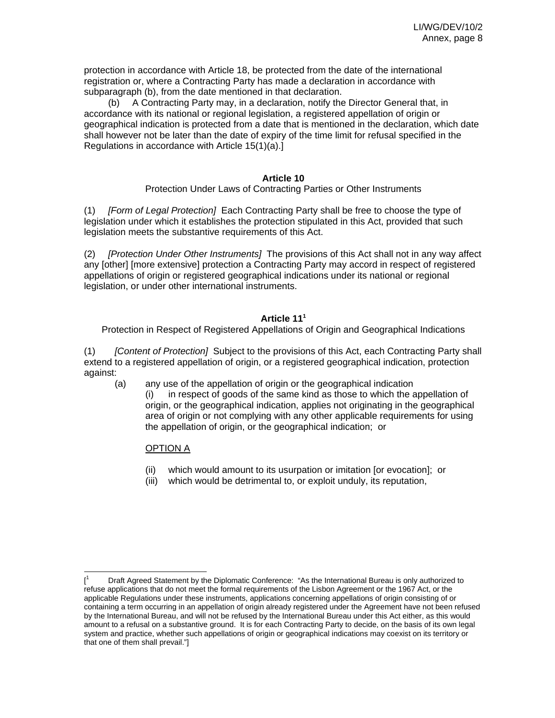protection in accordance with Article 18, be protected from the date of the international registration or, where a Contracting Party has made a declaration in accordance with subparagraph (b), from the date mentioned in that declaration.

(b) A Contracting Party may, in a declaration, notify the Director General that, in accordance with its national or regional legislation, a registered appellation of origin or geographical indication is protected from a date that is mentioned in the declaration, which date shall however not be later than the date of expiry of the time limit for refusal specified in the Regulations in accordance with Article 15(1)(a).]

# **Article 10**

#### Protection Under Laws of Contracting Parties or Other Instruments

(1) *[Form of Legal Protection]* Each Contracting Party shall be free to choose the type of legislation under which it establishes the protection stipulated in this Act, provided that such legislation meets the substantive requirements of this Act.

(2) *[Protection Under Other Instruments]* The provisions of this Act shall not in any way affect any [other] [more extensive] protection a Contracting Party may accord in respect of registered appellations of origin or registered geographical indications under its national or regional legislation, or under other international instruments.

# **Article 11<sup>1</sup>**

Protection in Respect of Registered Appellations of Origin and Geographical Indications

(1) *[Content of Protection]* Subject to the provisions of this Act, each Contracting Party shall extend to a registered appellation of origin, or a registered geographical indication, protection against:

(a) any use of the appellation of origin or the geographical indication

in respect of goods of the same kind as those to which the appellation of origin, or the geographical indication, applies not originating in the geographical area of origin or not complying with any other applicable requirements for using the appellation of origin, or the geographical indication; or

# OPTION A

 $\overline{a}$ 

- (ii) which would amount to its usurpation or imitation [or evocation]; or
- (iii) which would be detrimental to, or exploit unduly, its reputation,

<sup>[</sup> 1 Draft Agreed Statement by the Diplomatic Conference: "As the International Bureau is only authorized to refuse applications that do not meet the formal requirements of the Lisbon Agreement or the 1967 Act, or the applicable Regulations under these instruments, applications concerning appellations of origin consisting of or containing a term occurring in an appellation of origin already registered under the Agreement have not been refused by the International Bureau, and will not be refused by the International Bureau under this Act either, as this would amount to a refusal on a substantive ground. It is for each Contracting Party to decide, on the basis of its own legal system and practice, whether such appellations of origin or geographical indications may coexist on its territory or that one of them shall prevail."]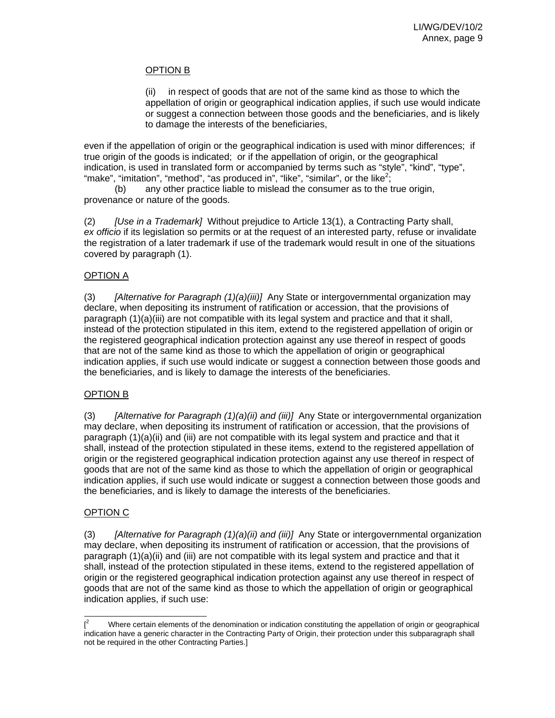# OPTION B

(ii) in respect of goods that are not of the same kind as those to which the appellation of origin or geographical indication applies, if such use would indicate or suggest a connection between those goods and the beneficiaries, and is likely to damage the interests of the beneficiaries,

even if the appellation of origin or the geographical indication is used with minor differences; if true origin of the goods is indicated; or if the appellation of origin, or the geographical indication, is used in translated form or accompanied by terms such as "style", "kind", "type", "make", "imitation", "method", "as produced in", "like", "similar", or the like<sup>2</sup>;

 (b) any other practice liable to mislead the consumer as to the true origin, provenance or nature of the goods.

(2) *[Use in a Trademark]* Without prejudice to Article 13(1), a Contracting Party shall, *ex officio* if its legislation so permits or at the request of an interested party, refuse or invalidate the registration of a later trademark if use of the trademark would result in one of the situations covered by paragraph (1).

#### OPTION A

(3) *[Alternative for Paragraph (1)(a)(iii)]* Any State or intergovernmental organization may declare, when depositing its instrument of ratification or accession, that the provisions of paragraph (1)(a)(iii) are not compatible with its legal system and practice and that it shall, instead of the protection stipulated in this item, extend to the registered appellation of origin or the registered geographical indication protection against any use thereof in respect of goods that are not of the same kind as those to which the appellation of origin or geographical indication applies, if such use would indicate or suggest a connection between those goods and the beneficiaries, and is likely to damage the interests of the beneficiaries.

# OPTION B

(3) *[Alternative for Paragraph (1)(a)(ii) and (iii)]* Any State or intergovernmental organization may declare, when depositing its instrument of ratification or accession, that the provisions of paragraph (1)(a)(ii) and (iii) are not compatible with its legal system and practice and that it shall, instead of the protection stipulated in these items, extend to the registered appellation of origin or the registered geographical indication protection against any use thereof in respect of goods that are not of the same kind as those to which the appellation of origin or geographical indication applies, if such use would indicate or suggest a connection between those goods and the beneficiaries, and is likely to damage the interests of the beneficiaries.

#### OPTION C

l

(3) *[Alternative for Paragraph (1)(a)(ii) and (iii)]* Any State or intergovernmental organization may declare, when depositing its instrument of ratification or accession, that the provisions of paragraph (1)(a)(ii) and (iii) are not compatible with its legal system and practice and that it shall, instead of the protection stipulated in these items, extend to the registered appellation of origin or the registered geographical indication protection against any use thereof in respect of goods that are not of the same kind as those to which the appellation of origin or geographical indication applies, if such use:

 $[$ <sup>2</sup> Where certain elements of the denomination or indication constituting the appellation of origin or geographical indication have a generic character in the Contracting Party of Origin, their protection under this subparagraph shall not be required in the other Contracting Parties.]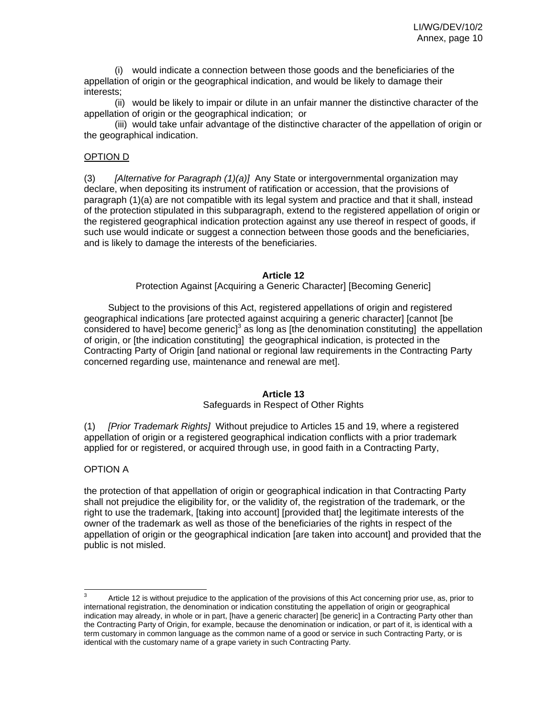(i) would indicate a connection between those goods and the beneficiaries of the appellation of origin or the geographical indication, and would be likely to damage their interests;

 (ii) would be likely to impair or dilute in an unfair manner the distinctive character of the appellation of origin or the geographical indication; or

 (iii) would take unfair advantage of the distinctive character of the appellation of origin or the geographical indication.

# OPTION D

(3) *[Alternative for Paragraph (1)(a)]* Any State or intergovernmental organization may declare, when depositing its instrument of ratification or accession, that the provisions of paragraph (1)(a) are not compatible with its legal system and practice and that it shall, instead of the protection stipulated in this subparagraph, extend to the registered appellation of origin or the registered geographical indication protection against any use thereof in respect of goods, if such use would indicate or suggest a connection between those goods and the beneficiaries, and is likely to damage the interests of the beneficiaries.

#### **Article 12**

Protection Against [Acquiring a Generic Character] [Becoming Generic]

Subject to the provisions of this Act, registered appellations of origin and registered geographical indications [are protected against acquiring a generic character] [cannot [be  $\overline{\text{considered}}$  to have] become generic]<sup>3</sup> as long as [the denomination constituting] the appellation of origin, or [the indication constituting] the geographical indication, is protected in the Contracting Party of Origin [and national or regional law requirements in the Contracting Party concerned regarding use, maintenance and renewal are met].

# **Article 13**

#### Safeguards in Respect of Other Rights

(1) *[Prior Trademark Rights]* Without prejudice to Articles 15 and 19, where a registered appellation of origin or a registered geographical indication conflicts with a prior trademark applied for or registered, or acquired through use, in good faith in a Contracting Party,

# OPTION A

the protection of that appellation of origin or geographical indication in that Contracting Party shall not prejudice the eligibility for, or the validity of, the registration of the trademark, or the right to use the trademark, [taking into account] [provided that] the legitimate interests of the owner of the trademark as well as those of the beneficiaries of the rights in respect of the appellation of origin or the geographical indication [are taken into account] and provided that the public is not misled.

<sup>-&</sup>lt;br>3 Article 12 is without prejudice to the application of the provisions of this Act concerning prior use, as, prior to international registration, the denomination or indication constituting the appellation of origin or geographical indication may already, in whole or in part, [have a generic character] [be generic] in a Contracting Party other than the Contracting Party of Origin, for example, because the denomination or indication, or part of it, is identical with a term customary in common language as the common name of a good or service in such Contracting Party, or is identical with the customary name of a grape variety in such Contracting Party.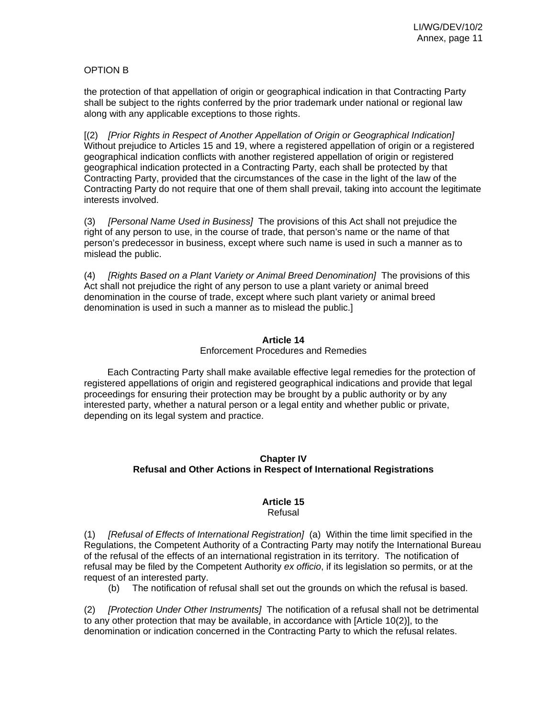# OPTION B

the protection of that appellation of origin or geographical indication in that Contracting Party shall be subject to the rights conferred by the prior trademark under national or regional law along with any applicable exceptions to those rights.

[(2) *[Prior Rights in Respect of Another Appellation of Origin or Geographical Indication]* Without prejudice to Articles 15 and 19, where a registered appellation of origin or a registered geographical indication conflicts with another registered appellation of origin or registered geographical indication protected in a Contracting Party, each shall be protected by that Contracting Party, provided that the circumstances of the case in the light of the law of the Contracting Party do not require that one of them shall prevail, taking into account the legitimate interests involved.

(3) *[Personal Name Used in Business]* The provisions of this Act shall not prejudice the right of any person to use, in the course of trade, that person's name or the name of that person's predecessor in business, except where such name is used in such a manner as to mislead the public.

(4) *[Rights Based on a Plant Variety or Animal Breed Denomination]* The provisions of this Act shall not prejudice the right of any person to use a plant variety or animal breed denomination in the course of trade, except where such plant variety or animal breed denomination is used in such a manner as to mislead the public.]

#### **Article 14**

#### Enforcement Procedures and Remedies

Each Contracting Party shall make available effective legal remedies for the protection of registered appellations of origin and registered geographical indications and provide that legal proceedings for ensuring their protection may be brought by a public authority or by any interested party, whether a natural person or a legal entity and whether public or private, depending on its legal system and practice.

#### **Chapter IV Refusal and Other Actions in Respect of International Registrations**

# **Article 15**

# Refusal

(1) *[Refusal of Effects of International Registration]* (a) Within the time limit specified in the Regulations, the Competent Authority of a Contracting Party may notify the International Bureau of the refusal of the effects of an international registration in its territory. The notification of refusal may be filed by the Competent Authority *ex officio*, if its legislation so permits, or at the request of an interested party.

(b) The notification of refusal shall set out the grounds on which the refusal is based.

(2) *[Protection Under Other Instruments]* The notification of a refusal shall not be detrimental to any other protection that may be available, in accordance with [Article 10(2)], to the denomination or indication concerned in the Contracting Party to which the refusal relates.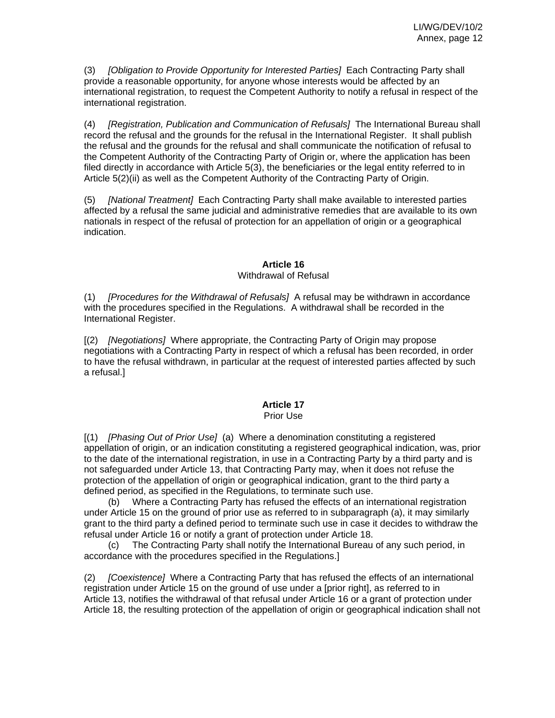(3) *[Obligation to Provide Opportunity for Interested Parties]* Each Contracting Party shall provide a reasonable opportunity, for anyone whose interests would be affected by an international registration, to request the Competent Authority to notify a refusal in respect of the international registration.

(4) *[Registration, Publication and Communication of Refusals]* The International Bureau shall record the refusal and the grounds for the refusal in the International Register. It shall publish the refusal and the grounds for the refusal and shall communicate the notification of refusal to the Competent Authority of the Contracting Party of Origin or, where the application has been filed directly in accordance with Article 5(3), the beneficiaries or the legal entity referred to in Article 5(2)(ii) as well as the Competent Authority of the Contracting Party of Origin.

(5) *[National Treatment]* Each Contracting Party shall make available to interested parties affected by a refusal the same judicial and administrative remedies that are available to its own nationals in respect of the refusal of protection for an appellation of origin or a geographical indication.

# **Article 16**

#### Withdrawal of Refusal

(1) *[Procedures for the Withdrawal of Refusals]* A refusal may be withdrawn in accordance with the procedures specified in the Regulations. A withdrawal shall be recorded in the International Register.

[(2) *[Negotiations]* Where appropriate, the Contracting Party of Origin may propose negotiations with a Contracting Party in respect of which a refusal has been recorded, in order to have the refusal withdrawn, in particular at the request of interested parties affected by such a refusal.]

# **Article 17**

# Prior Use

[(1) *[Phasing Out of Prior Use]* (a) Where a denomination constituting a registered appellation of origin, or an indication constituting a registered geographical indication, was, prior to the date of the international registration, in use in a Contracting Party by a third party and is not safeguarded under Article 13, that Contracting Party may, when it does not refuse the protection of the appellation of origin or geographical indication, grant to the third party a defined period, as specified in the Regulations, to terminate such use.

(b) Where a Contracting Party has refused the effects of an international registration under Article 15 on the ground of prior use as referred to in subparagraph (a), it may similarly grant to the third party a defined period to terminate such use in case it decides to withdraw the refusal under Article 16 or notify a grant of protection under Article 18.

(c) The Contracting Party shall notify the International Bureau of any such period, in accordance with the procedures specified in the Regulations.]

(2) *[Coexistence]* Where a Contracting Party that has refused the effects of an international registration under Article 15 on the ground of use under a [prior right], as referred to in Article 13, notifies the withdrawal of that refusal under Article 16 or a grant of protection under Article 18, the resulting protection of the appellation of origin or geographical indication shall not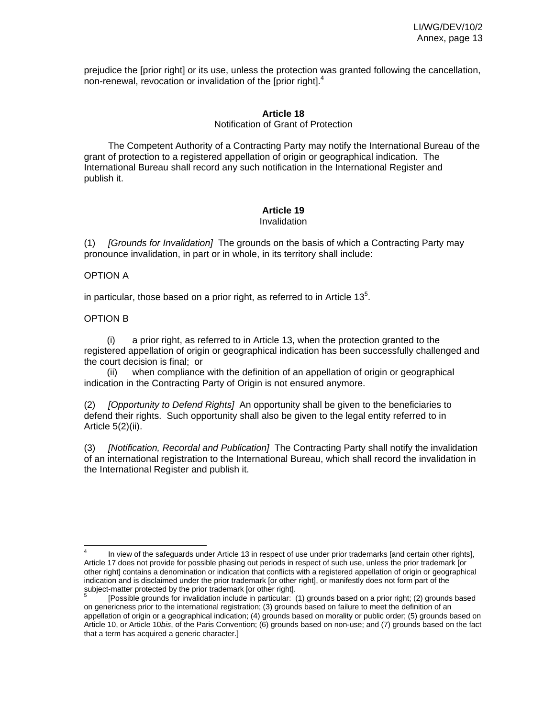prejudice the [prior right] or its use, unless the protection was granted following the cancellation, non-renewal, revocation or invalidation of the [prior right]  $4$ 

#### **Article 18**

Notification of Grant of Protection

 The Competent Authority of a Contracting Party may notify the International Bureau of the grant of protection to a registered appellation of origin or geographical indication. The International Bureau shall record any such notification in the International Register and publish it.

# **Article 19**

Invalidation

(1) *[Grounds for Invalidation]* The grounds on the basis of which a Contracting Party may pronounce invalidation, in part or in whole, in its territory shall include:

# OPTION A

in particular, those based on a prior right, as referred to in Article 13 $5$ .

# OPTION B

(i) a prior right, as referred to in Article 13, when the protection granted to the registered appellation of origin or geographical indication has been successfully challenged and the court decision is final; or

(ii) when compliance with the definition of an appellation of origin or geographical indication in the Contracting Party of Origin is not ensured anymore.

(2) *[Opportunity to Defend Rights]* An opportunity shall be given to the beneficiaries to defend their rights. Such opportunity shall also be given to the legal entity referred to in Article 5(2)(ii).

(3) *[Notification, Recordal and Publication]* The Contracting Party shall notify the invalidation of an international registration to the International Bureau, which shall record the invalidation in the International Register and publish it.

 $\frac{1}{4}$  In view of the safeguards under Article 13 in respect of use under prior trademarks [and certain other rights], Article 17 does not provide for possible phasing out periods in respect of such use, unless the prior trademark [or other right] contains a denomination or indication that conflicts with a registered appellation of origin or geographical indication and is disclaimed under the prior trademark [or other right], or manifestly does not form part of the subject-matter protected by the prior trademark [or other right].<br> **S** [Describle arounds for involvidation include in particular: (

 <sup>[</sup>Possible grounds for invalidation include in particular: (1) grounds based on a prior right; (2) grounds based on genericness prior to the international registration; (3) grounds based on failure to meet the definition of an appellation of origin or a geographical indication; (4) grounds based on morality or public order; (5) grounds based on Article 10, or Article 10*bis*, of the Paris Convention; (6) grounds based on non-use; and (7) grounds based on the fact that a term has acquired a generic character.]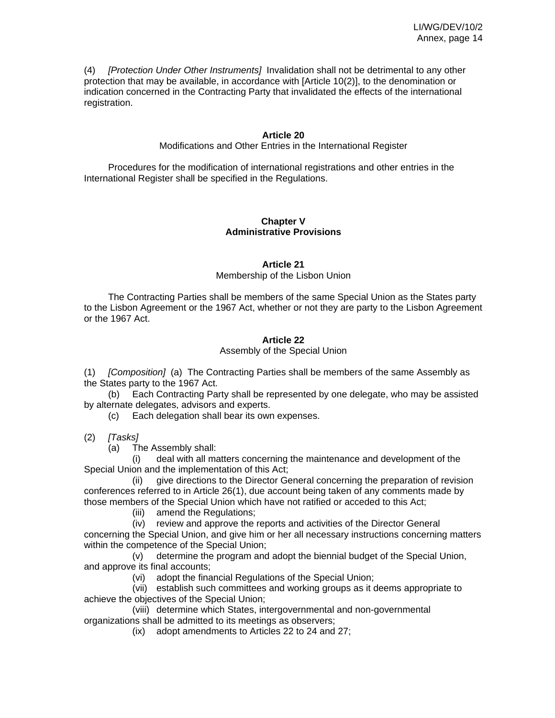(4) *[Protection Under Other Instruments]* Invalidation shall not be detrimental to any other protection that may be available, in accordance with [Article 10(2)], to the denomination or indication concerned in the Contracting Party that invalidated the effects of the international registration.

#### **Article 20**

Modifications and Other Entries in the International Register

Procedures for the modification of international registrations and other entries in the International Register shall be specified in the Regulations.

#### **Chapter V Administrative Provisions**

#### **Article 21**

#### Membership of the Lisbon Union

 The Contracting Parties shall be members of the same Special Union as the States party to the Lisbon Agreement or the 1967 Act, whether or not they are party to the Lisbon Agreement or the 1967 Act.

#### **Article 22**

#### Assembly of the Special Union

(1) *[Composition]* (a) The Contracting Parties shall be members of the same Assembly as the States party to the 1967 Act.

 (b) Each Contracting Party shall be represented by one delegate, who may be assisted by alternate delegates, advisors and experts.

(c) Each delegation shall bear its own expenses.

- (2) *[Tasks]*
	- (a) The Assembly shall:

 (i) deal with all matters concerning the maintenance and development of the Special Union and the implementation of this Act;

(ii) give directions to the Director General concerning the preparation of revision conferences referred to in Article 26(1), due account being taken of any comments made by those members of the Special Union which have not ratified or acceded to this Act;

(iii) amend the Regulations;

(iv) review and approve the reports and activities of the Director General concerning the Special Union, and give him or her all necessary instructions concerning matters within the competence of the Special Union;

(v) determine the program and adopt the biennial budget of the Special Union, and approve its final accounts;

(vi) adopt the financial Regulations of the Special Union;

(vii) establish such committees and working groups as it deems appropriate to achieve the objectives of the Special Union;

(viii) determine which States, intergovernmental and non-governmental organizations shall be admitted to its meetings as observers;

(ix) adopt amendments to Articles 22 to 24 and 27;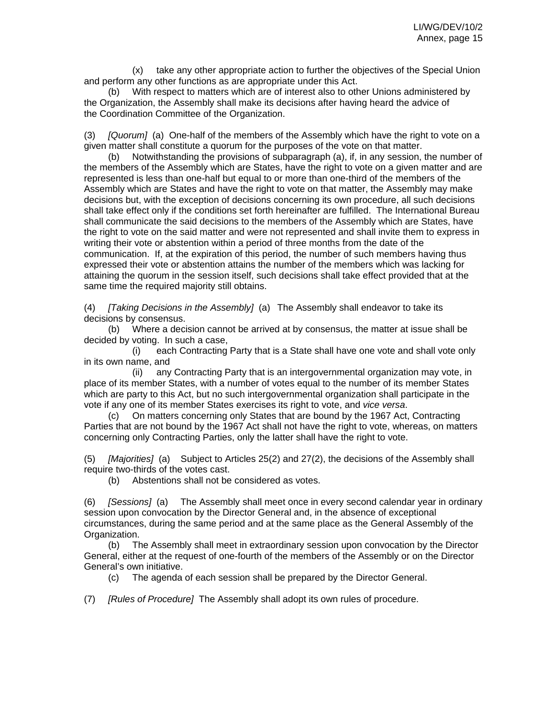(x) take any other appropriate action to further the objectives of the Special Union and perform any other functions as are appropriate under this Act.

 (b) With respect to matters which are of interest also to other Unions administered by the Organization, the Assembly shall make its decisions after having heard the advice of the Coordination Committee of the Organization.

(3) *[Quorum]* (a) One-half of the members of the Assembly which have the right to vote on a given matter shall constitute a quorum for the purposes of the vote on that matter.

(b) Notwithstanding the provisions of subparagraph (a), if, in any session, the number of the members of the Assembly which are States, have the right to vote on a given matter and are represented is less than one-half but equal to or more than one-third of the members of the Assembly which are States and have the right to vote on that matter, the Assembly may make decisions but, with the exception of decisions concerning its own procedure, all such decisions shall take effect only if the conditions set forth hereinafter are fulfilled. The International Bureau shall communicate the said decisions to the members of the Assembly which are States, have the right to vote on the said matter and were not represented and shall invite them to express in writing their vote or abstention within a period of three months from the date of the communication. If, at the expiration of this period, the number of such members having thus expressed their vote or abstention attains the number of the members which was lacking for attaining the quorum in the session itself, such decisions shall take effect provided that at the same time the required majority still obtains.

(4) *[Taking Decisions in the Assembly]* (a) The Assembly shall endeavor to take its decisions by consensus.

(b) Where a decision cannot be arrived at by consensus, the matter at issue shall be decided by voting. In such a case,

(i) each Contracting Party that is a State shall have one vote and shall vote only in its own name, and

(ii) any Contracting Party that is an intergovernmental organization may vote, in place of its member States, with a number of votes equal to the number of its member States which are party to this Act, but no such intergovernmental organization shall participate in the vote if any one of its member States exercises its right to vote, and *vice versa*.

 (c) On matters concerning only States that are bound by the 1967 Act, Contracting Parties that are not bound by the 1967 Act shall not have the right to vote, whereas, on matters concerning only Contracting Parties, only the latter shall have the right to vote.

(5) *[Majorities]* (a) Subject to Articles 25(2) and 27(2), the decisions of the Assembly shall require two-thirds of the votes cast.

(b) Abstentions shall not be considered as votes.

(6) *[Sessions]* (a) The Assembly shall meet once in every second calendar year in ordinary session upon convocation by the Director General and, in the absence of exceptional circumstances, during the same period and at the same place as the General Assembly of the Organization.

(b) The Assembly shall meet in extraordinary session upon convocation by the Director General, either at the request of one-fourth of the members of the Assembly or on the Director General's own initiative.

(c) The agenda of each session shall be prepared by the Director General.

(7) *[Rules of Procedure]* The Assembly shall adopt its own rules of procedure.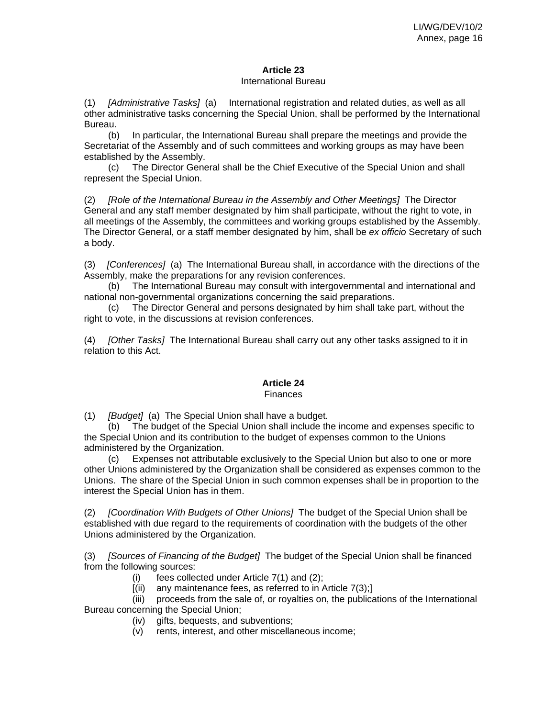# **Article 23**

#### International Bureau

(1) *[Administrative Tasks]* (a) International registration and related duties, as well as all other administrative tasks concerning the Special Union, shall be performed by the International Bureau.

 (b) In particular, the International Bureau shall prepare the meetings and provide the Secretariat of the Assembly and of such committees and working groups as may have been established by the Assembly.

 (c) The Director General shall be the Chief Executive of the Special Union and shall represent the Special Union.

(2) *[Role of the International Bureau in the Assembly and Other Meetings]* The Director General and any staff member designated by him shall participate, without the right to vote, in all meetings of the Assembly, the committees and working groups established by the Assembly. The Director General, or a staff member designated by him, shall be *ex officio* Secretary of such a body.

(3) *[Conferences]* (a) The International Bureau shall, in accordance with the directions of the Assembly, make the preparations for any revision conferences.

 (b) The International Bureau may consult with intergovernmental and international and national non-governmental organizations concerning the said preparations.

 (c) The Director General and persons designated by him shall take part, without the right to vote, in the discussions at revision conferences.

(4) *[Other Tasks]* The International Bureau shall carry out any other tasks assigned to it in relation to this Act.

# **Article 24**

#### **Finances**

(1) *[Budget]* (a) The Special Union shall have a budget.

 (b) The budget of the Special Union shall include the income and expenses specific to the Special Union and its contribution to the budget of expenses common to the Unions administered by the Organization.

 (c) Expenses not attributable exclusively to the Special Union but also to one or more other Unions administered by the Organization shall be considered as expenses common to the Unions. The share of the Special Union in such common expenses shall be in proportion to the interest the Special Union has in them.

(2) *[Coordination With Budgets of Other Unions]* The budget of the Special Union shall be established with due regard to the requirements of coordination with the budgets of the other Unions administered by the Organization.

(3) *[Sources of Financing of the Budget]* The budget of the Special Union shall be financed from the following sources:

- (i) fees collected under Article 7(1) and (2);
- $[i]$  any maintenance fees, as referred to in Article  $7(3)$ ;

(iii) proceeds from the sale of, or royalties on, the publications of the International Bureau concerning the Special Union;

- (iv) gifts, bequests, and subventions;
- (v) rents, interest, and other miscellaneous income;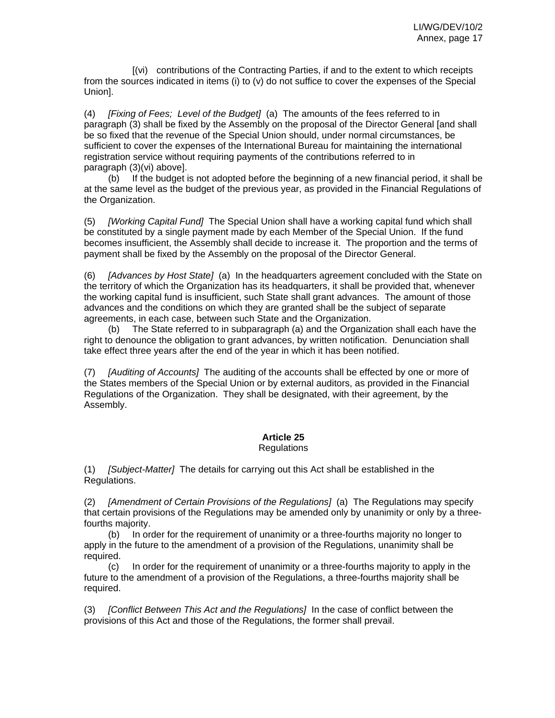[(vi) contributions of the Contracting Parties, if and to the extent to which receipts from the sources indicated in items (i) to (v) do not suffice to cover the expenses of the Special Union].

(4) *[Fixing of Fees; Level of the Budget]* (a) The amounts of the fees referred to in paragraph (3) shall be fixed by the Assembly on the proposal of the Director General [and shall be so fixed that the revenue of the Special Union should, under normal circumstances, be sufficient to cover the expenses of the International Bureau for maintaining the international registration service without requiring payments of the contributions referred to in paragraph (3)(vi) above].

 (b) If the budget is not adopted before the beginning of a new financial period, it shall be at the same level as the budget of the previous year, as provided in the Financial Regulations of the Organization.

(5) *[Working Capital Fund]* The Special Union shall have a working capital fund which shall be constituted by a single payment made by each Member of the Special Union. If the fund becomes insufficient, the Assembly shall decide to increase it. The proportion and the terms of payment shall be fixed by the Assembly on the proposal of the Director General.

(6) *[Advances by Host State]* (a) In the headquarters agreement concluded with the State on the territory of which the Organization has its headquarters, it shall be provided that, whenever the working capital fund is insufficient, such State shall grant advances. The amount of those advances and the conditions on which they are granted shall be the subject of separate agreements, in each case, between such State and the Organization.

 (b) The State referred to in subparagraph (a) and the Organization shall each have the right to denounce the obligation to grant advances, by written notification. Denunciation shall take effect three years after the end of the year in which it has been notified.

(7) *[Auditing of Accounts]* The auditing of the accounts shall be effected by one or more of the States members of the Special Union or by external auditors, as provided in the Financial Regulations of the Organization. They shall be designated, with their agreement, by the Assembly.

#### **Article 25 Regulations**

(1) *[Subject-Matter]* The details for carrying out this Act shall be established in the Regulations.

(2) *[Amendment of Certain Provisions of the Regulations]* (a) The Regulations may specify that certain provisions of the Regulations may be amended only by unanimity or only by a threefourths majority.

(b) In order for the requirement of unanimity or a three-fourths majority no longer to apply in the future to the amendment of a provision of the Regulations, unanimity shall be required.

(c) In order for the requirement of unanimity or a three-fourths majority to apply in the future to the amendment of a provision of the Regulations, a three-fourths majority shall be required.

(3) *[Conflict Between This Act and the Regulations]* In the case of conflict between the provisions of this Act and those of the Regulations, the former shall prevail.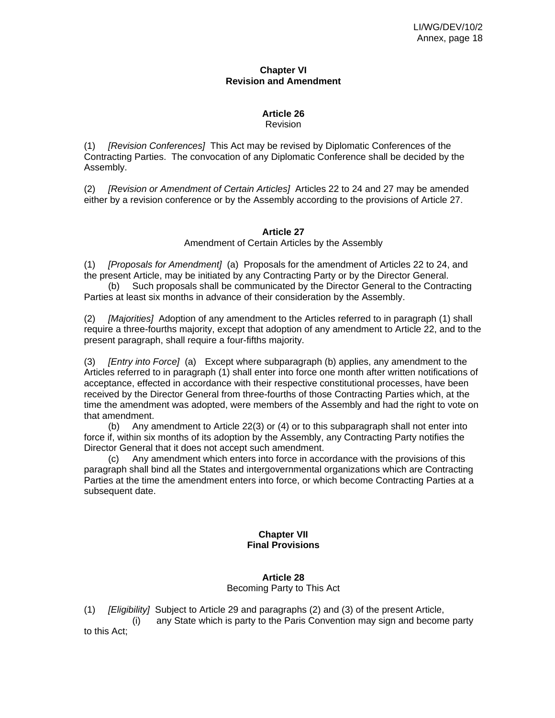#### **Chapter VI Revision and Amendment**

# **Article 26**

#### Revision

(1) *[Revision Conferences]* This Act may be revised by Diplomatic Conferences of the Contracting Parties. The convocation of any Diplomatic Conference shall be decided by the Assembly.

(2) *[Revision or Amendment of Certain Articles]* Articles 22 to 24 and 27 may be amended either by a revision conference or by the Assembly according to the provisions of Article 27.

# **Article 27**

Amendment of Certain Articles by the Assembly

(1) *[Proposals for Amendment]* (a) Proposals for the amendment of Articles 22 to 24, and the present Article, may be initiated by any Contracting Party or by the Director General.

(b) Such proposals shall be communicated by the Director General to the Contracting Parties at least six months in advance of their consideration by the Assembly.

(2) *[Majorities]* Adoption of any amendment to the Articles referred to in paragraph (1) shall require a three-fourths majority, except that adoption of any amendment to Article 22, and to the present paragraph, shall require a four-fifths majority.

(3) *[Entry into Force]* (a) Except where subparagraph (b) applies, any amendment to the Articles referred to in paragraph (1) shall enter into force one month after written notifications of acceptance, effected in accordance with their respective constitutional processes, have been received by the Director General from three-fourths of those Contracting Parties which, at the time the amendment was adopted, were members of the Assembly and had the right to vote on that amendment.

(b) Any amendment to Article 22(3) or (4) or to this subparagraph shall not enter into force if, within six months of its adoption by the Assembly, any Contracting Party notifies the Director General that it does not accept such amendment.

(c) Any amendment which enters into force in accordance with the provisions of this paragraph shall bind all the States and intergovernmental organizations which are Contracting Parties at the time the amendment enters into force, or which become Contracting Parties at a subsequent date.

# **Chapter VII Final Provisions**

# **Article 28**

Becoming Party to This Act

(1) *[Eligibility]* Subject to Article 29 and paragraphs (2) and (3) of the present Article,

(i) any State which is party to the Paris Convention may sign and become party to this Act;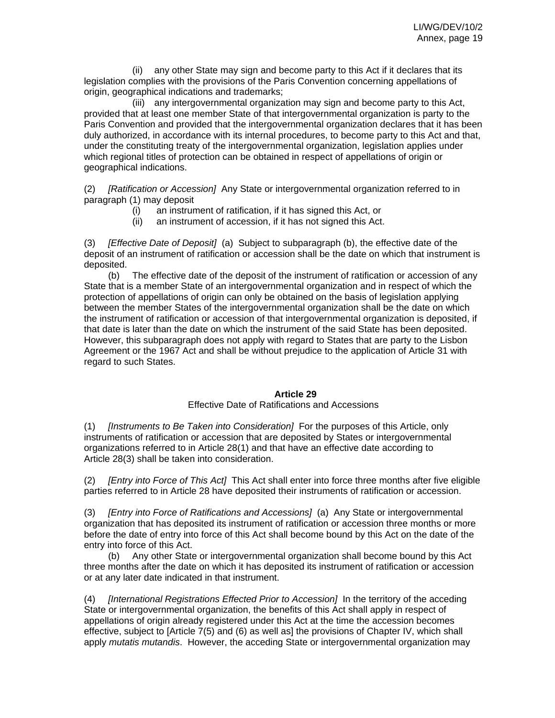(ii) any other State may sign and become party to this Act if it declares that its legislation complies with the provisions of the Paris Convention concerning appellations of origin, geographical indications and trademarks;

(iii) any intergovernmental organization may sign and become party to this Act, provided that at least one member State of that intergovernmental organization is party to the Paris Convention and provided that the intergovernmental organization declares that it has been duly authorized, in accordance with its internal procedures, to become party to this Act and that, under the constituting treaty of the intergovernmental organization, legislation applies under which regional titles of protection can be obtained in respect of appellations of origin or geographical indications.

(2) *[Ratification or Accession]* Any State or intergovernmental organization referred to in paragraph (1) may deposit

- (i) an instrument of ratification, if it has signed this Act, or
- (ii) an instrument of accession, if it has not signed this Act.

(3) *[Effective Date of Deposit]* (a) Subject to subparagraph (b), the effective date of the deposit of an instrument of ratification or accession shall be the date on which that instrument is deposited.

(b) The effective date of the deposit of the instrument of ratification or accession of any State that is a member State of an intergovernmental organization and in respect of which the protection of appellations of origin can only be obtained on the basis of legislation applying between the member States of the intergovernmental organization shall be the date on which the instrument of ratification or accession of that intergovernmental organization is deposited, if that date is later than the date on which the instrument of the said State has been deposited. However, this subparagraph does not apply with regard to States that are party to the Lisbon Agreement or the 1967 Act and shall be without prejudice to the application of Article 31 with regard to such States.

# **Article 29**

#### Effective Date of Ratifications and Accessions

(1) *[Instruments to Be Taken into Consideration]* For the purposes of this Article, only instruments of ratification or accession that are deposited by States or intergovernmental organizations referred to in Article 28(1) and that have an effective date according to Article 28(3) shall be taken into consideration.

(2) *[Entry into Force of This Act]* This Act shall enter into force three months after five eligible parties referred to in Article 28 have deposited their instruments of ratification or accession.

(3) *[Entry into Force of Ratifications and Accessions]* (a) Any State or intergovernmental organization that has deposited its instrument of ratification or accession three months or more before the date of entry into force of this Act shall become bound by this Act on the date of the entry into force of this Act.

(b) Any other State or intergovernmental organization shall become bound by this Act three months after the date on which it has deposited its instrument of ratification or accession or at any later date indicated in that instrument.

(4) *[International Registrations Effected Prior to Accession]* In the territory of the acceding State or intergovernmental organization, the benefits of this Act shall apply in respect of appellations of origin already registered under this Act at the time the accession becomes effective, subject to [Article 7(5) and (6) as well as] the provisions of Chapter IV, which shall apply *mutatis mutandis*. However, the acceding State or intergovernmental organization may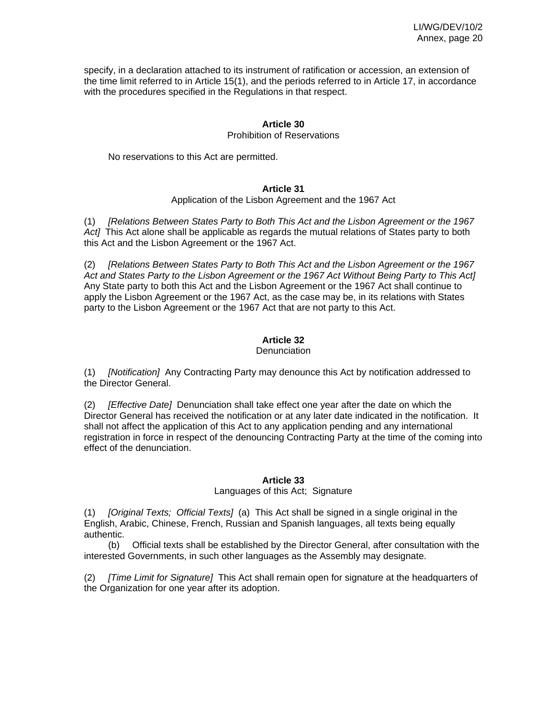specify, in a declaration attached to its instrument of ratification or accession, an extension of the time limit referred to in Article 15(1), and the periods referred to in Article 17, in accordance with the procedures specified in the Regulations in that respect.

# **Article 30**

Prohibition of Reservations

No reservations to this Act are permitted.

# **Article 31**

Application of the Lisbon Agreement and the 1967 Act

(1) *[Relations Between States Party to Both This Act and the Lisbon Agreement or the 1967 Act]* This Act alone shall be applicable as regards the mutual relations of States party to both this Act and the Lisbon Agreement or the 1967 Act.

(2) *[Relations Between States Party to Both This Act and the Lisbon Agreement or the 1967 Act and States Party to the Lisbon Agreement or the 1967 Act Without Being Party to This Act]*  Any State party to both this Act and the Lisbon Agreement or the 1967 Act shall continue to apply the Lisbon Agreement or the 1967 Act, as the case may be, in its relations with States party to the Lisbon Agreement or the 1967 Act that are not party to this Act.

# **Article 32**

#### **Denunciation**

(1) *[Notification]* Any Contracting Party may denounce this Act by notification addressed to the Director General.

(2) *[Effective Date]* Denunciation shall take effect one year after the date on which the Director General has received the notification or at any later date indicated in the notification. It shall not affect the application of this Act to any application pending and any international registration in force in respect of the denouncing Contracting Party at the time of the coming into effect of the denunciation.

# **Article 33**

#### Languages of this Act; Signature

(1) *[Original Texts; Official Texts]* (a) This Act shall be signed in a single original in the English, Arabic, Chinese, French, Russian and Spanish languages, all texts being equally authentic.

(b) Official texts shall be established by the Director General, after consultation with the interested Governments, in such other languages as the Assembly may designate.

(2) *[Time Limit for Signature]* This Act shall remain open for signature at the headquarters of the Organization for one year after its adoption.